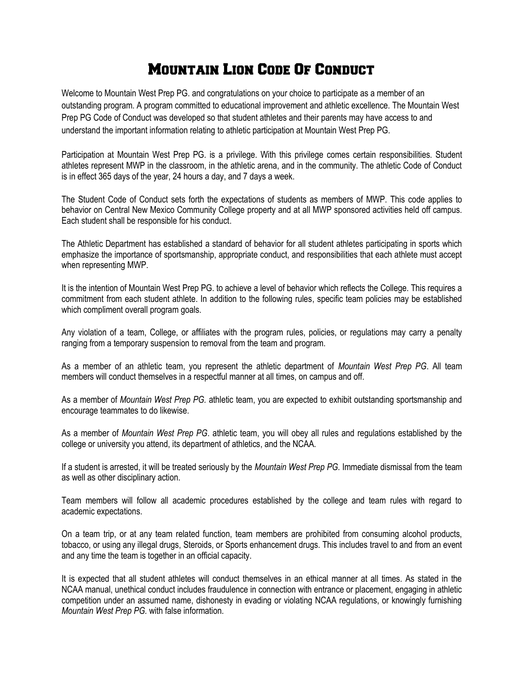## Mountain Lion Code Of Conduct

Welcome to Mountain West Prep PG. and congratulations on your choice to participate as a member of an outstanding program. A program committed to educational improvement and athletic excellence. The Mountain West Prep PG Code of Conduct was developed so that student athletes and their parents may have access to and understand the important information relating to athletic participation at Mountain West Prep PG.

Participation at Mountain West Prep PG. is a privilege. With this privilege comes certain responsibilities. Student athletes represent MWP in the classroom, in the athletic arena, and in the community. The athletic Code of Conduct is in effect 365 days of the year, 24 hours a day, and 7 days a week.

The Student Code of Conduct sets forth the expectations of students as members of MWP. This code applies to behavior on Central New Mexico Community College property and at all MWP sponsored activities held off campus. Each student shall be responsible for his conduct.

The Athletic Department has established a standard of behavior for all student athletes participating in sports which emphasize the importance of sportsmanship, appropriate conduct, and responsibilities that each athlete must accept when representing MWP.

It is the intention of Mountain West Prep PG. to achieve a level of behavior which reflects the College. This requires a commitment from each student athlete. In addition to the following rules, specific team policies may be established which compliment overall program goals.

Any violation of a team, College, or affiliates with the program rules, policies, or regulations may carry a penalty ranging from a temporary suspension to removal from the team and program.

As a member of an athletic team, you represent the athletic department of *Mountain West Prep PG*. All team members will conduct themselves in a respectful manner at all times, on campus and off.

As a member of *Mountain West Prep PG.* athletic team, you are expected to exhibit outstanding sportsmanship and encourage teammates to do likewise.

As a member of *Mountain West Prep PG*. athletic team, you will obey all rules and regulations established by the college or university you attend, its department of athletics, and the NCAA.

If a student is arrested, it will be treated seriously by the *Mountain West Prep PG.* Immediate dismissal from the team as well as other disciplinary action.

Team members will follow all academic procedures established by the college and team rules with regard to academic expectations.

On a team trip, or at any team related function, team members are prohibited from consuming alcohol products, tobacco, or using any illegal drugs, Steroids, or Sports enhancement drugs. This includes travel to and from an event and any time the team is together in an official capacity.

It is expected that all student athletes will conduct themselves in an ethical manner at all times. As stated in the NCAA manual, unethical conduct includes fraudulence in connection with entrance or placement, engaging in athletic competition under an assumed name, dishonesty in evading or violating NCAA regulations, or knowingly furnishing *Mountain West Prep PG.* with false information.